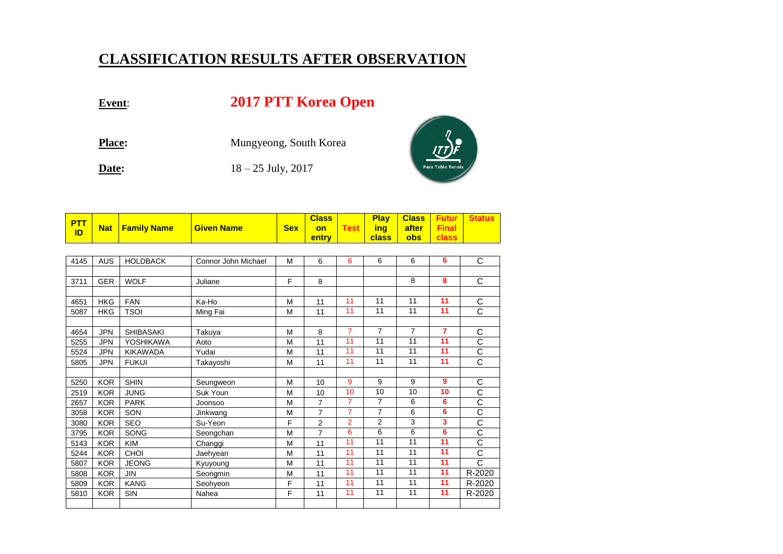## **CLASSIFICATION RESULTS AFTER OBSERVATION**

## **Event**: **2017 PTT Korea Open**

Place: Mungyeong, South Korea **Date:** 18 – 25 July, 2017



| <b>PTT</b><br>ID | <b>Nat</b> | <b>Family Name</b> | <b>Given Name</b>   | <b>Sex</b> | <b>Class</b><br>on | <b>Test</b>    | <b>Play</b><br>ing | <b>Class</b><br>after | <b>Futur</b><br><b>Final</b> | <b>Status</b>         |
|------------------|------------|--------------------|---------------------|------------|--------------------|----------------|--------------------|-----------------------|------------------------------|-----------------------|
|                  |            |                    |                     |            | entry              |                | class              | obs                   | class                        |                       |
|                  |            |                    |                     |            |                    |                |                    |                       |                              |                       |
| 4145             | <b>AUS</b> | <b>HOLDBACK</b>    | Connor John Michael | M          | 6                  | 6              | 6                  | 6                     | 6                            | C                     |
|                  |            |                    |                     |            |                    |                |                    |                       |                              |                       |
| 3711             | <b>GER</b> | <b>WOLF</b>        | Juliane             | F          | 8                  |                |                    | 8                     | 8                            | C                     |
|                  |            |                    |                     |            |                    |                |                    |                       |                              |                       |
| 4651             | <b>HKG</b> | <b>FAN</b>         | Ka-Ho               | M          | 11                 | 11             | 11                 | 11                    | 11                           | C                     |
| 5087             | <b>HKG</b> | <b>TSOI</b>        | Ming Fai            | M          | 11                 | 11             | 11                 | 11                    | 11                           | $\overline{\text{c}}$ |
|                  |            |                    |                     |            |                    |                |                    |                       |                              |                       |
| 4654             | <b>JPN</b> | <b>SHIBASAKI</b>   | Takuya              | M          | 8                  | $\overline{7}$ | $\overline{7}$     | $\overline{7}$        | $\overline{7}$               | C                     |
| 5255             | <b>JPN</b> | YOSHIKAWA          | Aoto                | M          | 11                 | 11             | 11                 | 11                    | 11                           | $\overline{\text{c}}$ |
| 5524             | <b>JPN</b> | <b>KIKAWADA</b>    | Yudai               | M          | 11                 | 11             | 11                 | 11                    | 11                           | $\overline{\text{c}}$ |
| 5805             | <b>JPN</b> | <b>FUKUI</b>       | Takayoshi           | M          | 11                 | 11             | 11                 | 11                    | 11                           | $\overline{\text{c}}$ |
|                  |            |                    |                     |            |                    |                |                    |                       |                              |                       |
| 5250             | <b>KOR</b> | <b>SHIN</b>        | Seungweon           | M          | 10                 | 9              | 9                  | 9                     | 9                            | C                     |
| 2519             | <b>KOR</b> | <b>JUNG</b>        | Suk Youn            | M          | 10                 | 10             | 10                 | 10                    | 10                           | $\overline{\text{c}}$ |
| 2657             | <b>KOR</b> | <b>PARK</b>        | Joonsoo             | M          | $\overline{7}$     | $\overline{7}$ | $\overline{7}$     | 6                     | 6                            | $\overline{\text{c}}$ |
| 3058             | <b>KOR</b> | SON                | Jinkwang            | M          | $\overline{7}$     | $\overline{7}$ | $\overline{7}$     | 6                     | 6                            | $\overline{\text{c}}$ |
| 3080             | <b>KOR</b> | <b>SEO</b>         | Su-Yeon             | F          | $\overline{2}$     | $\overline{2}$ | $\overline{2}$     | 3                     | 3                            | $\overline{\text{c}}$ |
| 3795             | <b>KOR</b> | <b>SONG</b>        | Seongchan           | M          | $\overline{7}$     | 6              | 6                  | 6                     | 6                            | $\overline{\text{c}}$ |
| 5143             | <b>KOR</b> | <b>KIM</b>         | Changgi             | M          | 11                 | 11             | 11                 | 11                    | 11                           | $\overline{\text{c}}$ |
| 5244             | <b>KOR</b> | CHOI               | Jaehyean            | M          | 11                 | 11             | 11                 | 11                    | 11                           | $\overline{\text{c}}$ |
| 5807             | <b>KOR</b> | <b>JEONG</b>       | Kyuyoung            | M          | 11                 | 11             | 11                 | 11                    | 11                           | C                     |
| 5808             | <b>KOR</b> | <b>JIN</b>         | Seongmin            | M          | 11                 | 11             | 11                 | 11                    | 11                           | R-2020                |
| 5809             | <b>KOR</b> | <b>KANG</b>        | Seohyeon            | F          | 11                 | 11             | 11                 | 11                    | 11                           | R-2020                |
| 5810             | <b>KOR</b> | SIN                | Nahea               | F          | 11                 | 11             | 11                 | 11                    | 11                           | R-2020                |
|                  |            |                    |                     |            |                    |                |                    |                       |                              |                       |